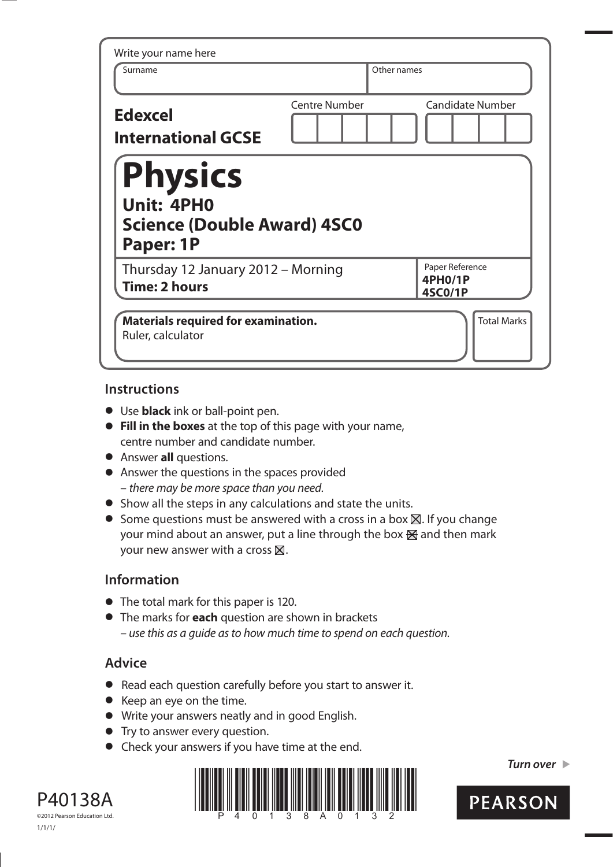| Write your name here<br>Surname                                                               |                      | Other names                                         |
|-----------------------------------------------------------------------------------------------|----------------------|-----------------------------------------------------|
| <b>Edexcel</b><br><b>International GCSE</b>                                                   | <b>Centre Number</b> | <b>Candidate Number</b>                             |
| <b>Physics</b><br><b>Unit: 4PH0</b><br><b>Science (Double Award) 4SC0</b><br><b>Paper: 1P</b> |                      |                                                     |
| Thursday 12 January 2012 - Morning<br><b>Time: 2 hours</b>                                    |                      | Paper Reference<br><b>4PH0/1P</b><br><b>4SC0/1P</b> |
| <b>Materials required for examination.</b><br>Ruler, calculator                               |                      | <b>Total Marks</b>                                  |

### **Instructions**

- **t** Use **black** ink or ball-point pen.
- **Fill in the boxes** at the top of this page with your name, centre number and candidate number.
- **•** Answer **all** questions.
- **•** Answer the questions in the spaces provided – there may be more space than you need.
- **•** Show all the steps in any calculations and state the units.
- $\bullet$  Some questions must be answered with a cross in a box  $\boxtimes$ . If you change your mind about an answer, put a line through the box  $\mathbb X$  and then mark your new answer with a cross  $\boxtimes$ .

### **Information**

- **•** The total mark for this paper is 120.
- **t** The marks for **each** question are shown in brackets – use this as a guide as to how much time to spend on each question.

## **Advice**

- **t** Read each question carefully before you start to answer it.
- **t** Keep an eye on the time.
- **t** Write your answers neatly and in good English.
- **•** Try to answer every question.
- **•** Check your answers if you have time at the end.





*Turn over* 

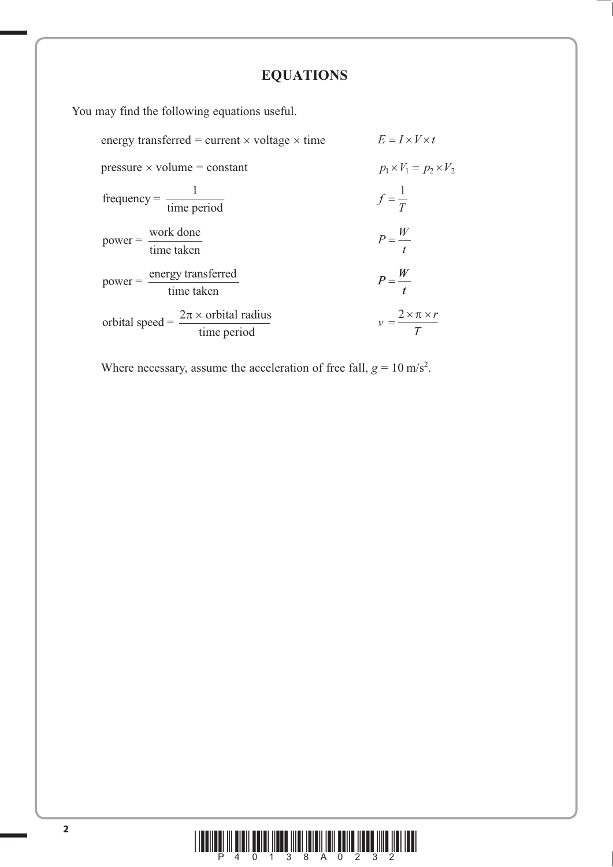# **EQUATIONS**

You may find the following equations useful.

| energy transferred = current $\times$ voltage $\times$ time                    | $E = I \times V \times t$             |
|--------------------------------------------------------------------------------|---------------------------------------|
| $pressure \times volume = constant$                                            | $p_1 \times V_1 = p_2 \times V_2$     |
| $frequency = \frac{1}{time period}$                                            | $f=\frac{1}{T}$                       |
| $power = \frac{work \, done}{time \, taken}$                                   | $P = \frac{W}{t}$                     |
| $power = \frac{\text{energy transferred}}{\text{time taken}}$                  | $P = \frac{W}{t}$                     |
| orbital speed = $\frac{2\pi \times \text{orbital radius}}{\text{time period}}$ | $v = \frac{2 \times \pi \times r}{T}$ |

Where necessary, assume the acceleration of free fall,  $g = 10 \text{ m/s}^2$ .

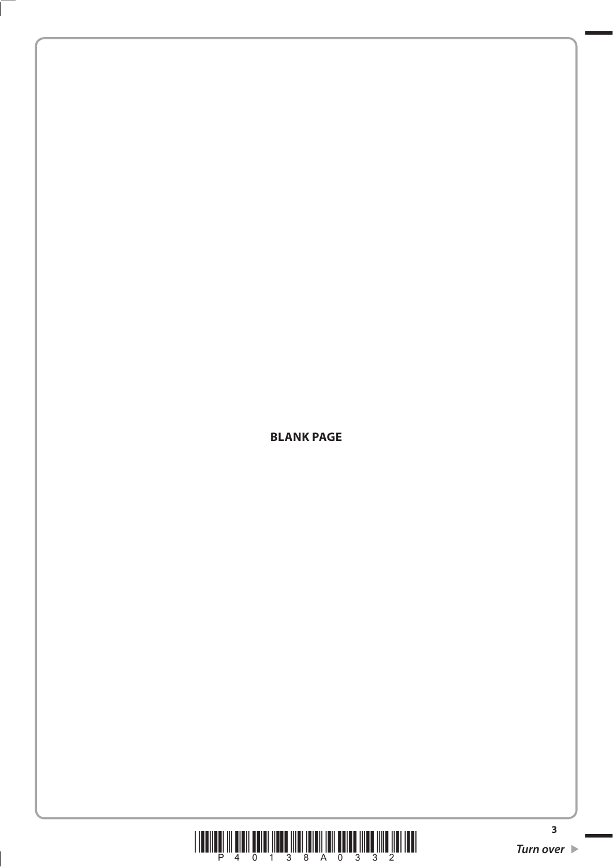

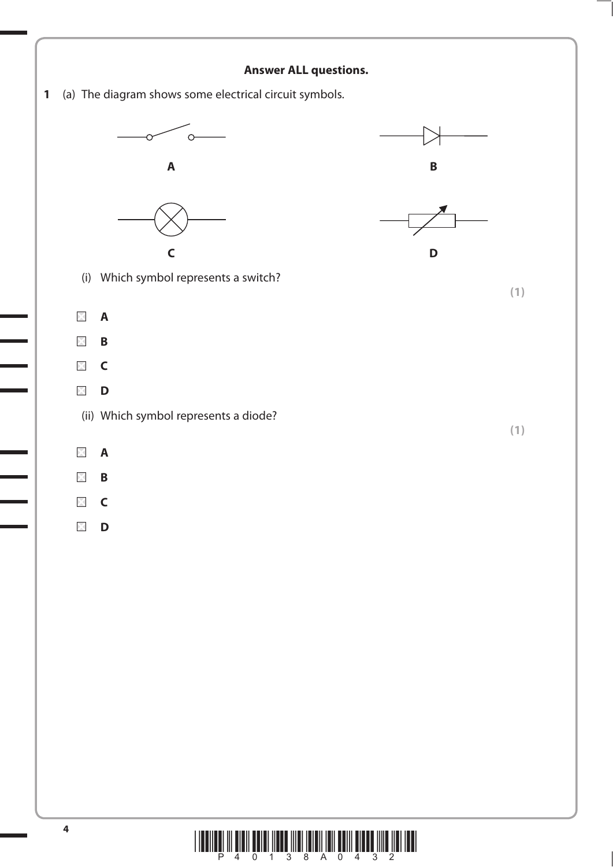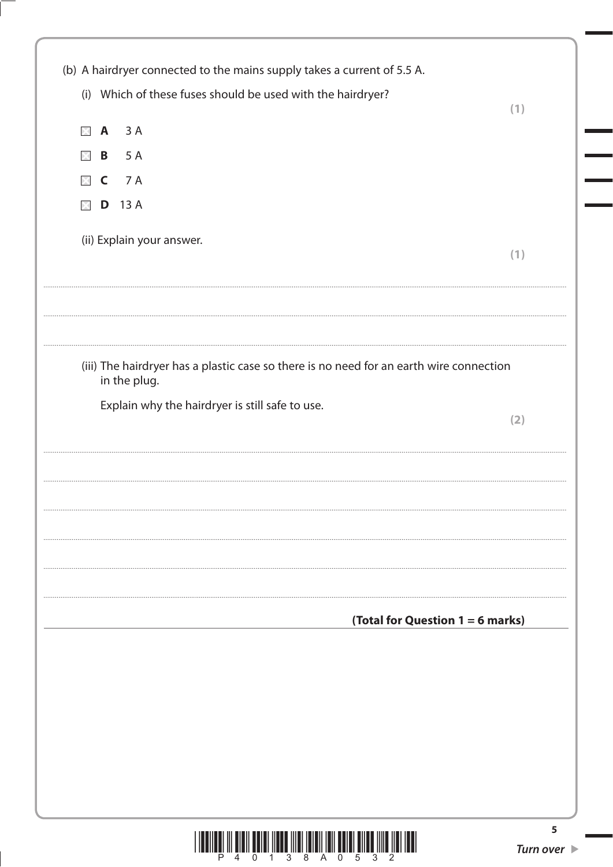| (b) A hairdryer connected to the mains supply takes a current of 5.5 A.                                 |                  |
|---------------------------------------------------------------------------------------------------------|------------------|
| (i) Which of these fuses should be used with the hairdryer?                                             |                  |
|                                                                                                         | (1)              |
| <b>A</b> 3A<br>$\boxtimes$                                                                              |                  |
| <b>B</b> 5 A                                                                                            |                  |
| <b>C</b> 7A                                                                                             |                  |
| <b>D</b> 13 A<br>$\times$                                                                               |                  |
| (ii) Explain your answer.                                                                               | (1)              |
|                                                                                                         |                  |
| (iii) The hairdryer has a plastic case so there is no need for an earth wire connection<br>in the plug. |                  |
| Explain why the hairdryer is still safe to use.                                                         | (2)              |
|                                                                                                         |                  |
|                                                                                                         |                  |
|                                                                                                         |                  |
|                                                                                                         |                  |
|                                                                                                         |                  |
|                                                                                                         |                  |
| (Total for Question 1 = 6 marks)                                                                        |                  |
|                                                                                                         |                  |
|                                                                                                         |                  |
|                                                                                                         |                  |
|                                                                                                         |                  |
|                                                                                                         |                  |
|                                                                                                         |                  |
|                                                                                                         |                  |
| <u> Alii ilii olio on on moodul</u><br>IIIIII                                                           | 5<br>Turn over 1 |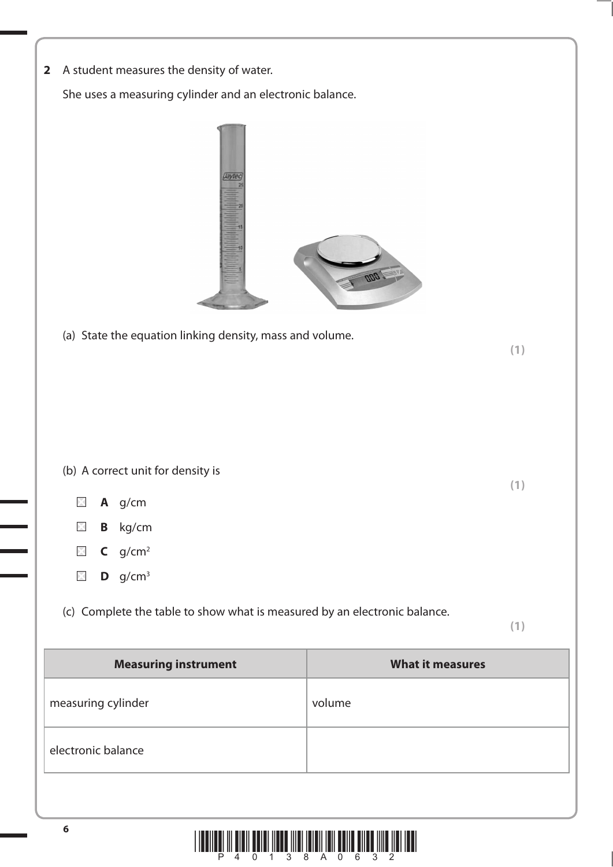| $\overline{\mathbf{2}}$ | A student measures the density of water.                                  |                         |     |
|-------------------------|---------------------------------------------------------------------------|-------------------------|-----|
|                         | She uses a measuring cylinder and an electronic balance.                  |                         |     |
|                         | <b>Laytec</b>                                                             | <b>DOG</b>              |     |
|                         | (a) State the equation linking density, mass and volume.                  |                         |     |
|                         |                                                                           |                         | (1) |
|                         |                                                                           |                         |     |
|                         |                                                                           |                         |     |
|                         | (b) A correct unit for density is                                         |                         | (1) |
|                         | $\blacksquare$ <b>A</b> g/cm                                              |                         |     |
| $\boxtimes$             | <b>B</b> kg/cm                                                            |                         |     |
| $\times$                | $C$ g/cm <sup>2</sup>                                                     |                         |     |
| $\times$                | $D$ g/cm <sup>3</sup>                                                     |                         |     |
|                         | (c) Complete the table to show what is measured by an electronic balance. |                         |     |
|                         |                                                                           |                         | (1) |
|                         | <b>Measuring instrument</b>                                               | <b>What it measures</b> |     |
| measuring cylinder      |                                                                           | volume                  |     |
| electronic balance      |                                                                           |                         |     |
|                         |                                                                           |                         |     |

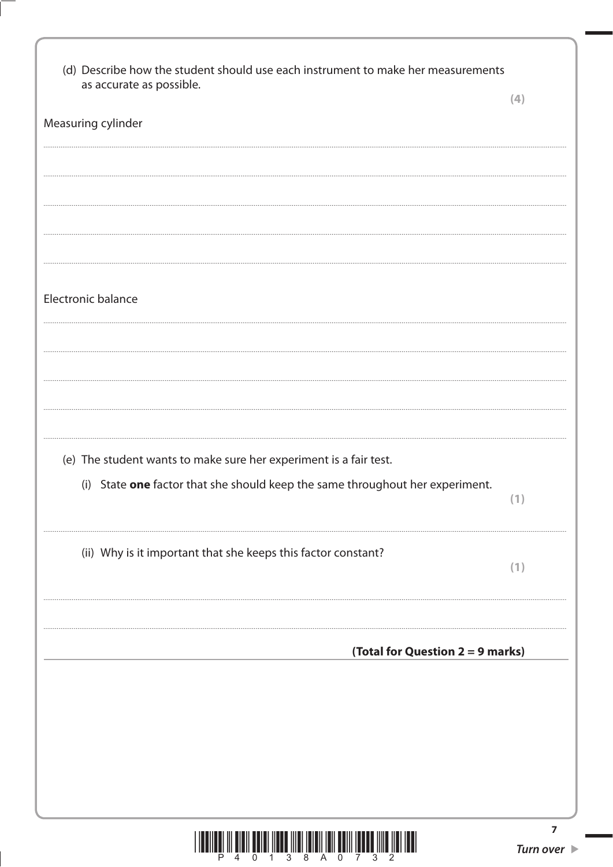|                                                                               | (d) Describe how the student should use each instrument to make her measurements<br>(4) |
|-------------------------------------------------------------------------------|-----------------------------------------------------------------------------------------|
| Measuring cylinder                                                            |                                                                                         |
|                                                                               |                                                                                         |
|                                                                               |                                                                                         |
|                                                                               |                                                                                         |
|                                                                               |                                                                                         |
| Electronic balance                                                            |                                                                                         |
|                                                                               |                                                                                         |
|                                                                               |                                                                                         |
|                                                                               |                                                                                         |
|                                                                               |                                                                                         |
| (e) The student wants to make sure her experiment is a fair test.             |                                                                                         |
| (i) State one factor that she should keep the same throughout her experiment. | (1)                                                                                     |
|                                                                               |                                                                                         |
| (ii) Why is it important that she keeps this factor constant?                 | (1)                                                                                     |
|                                                                               |                                                                                         |
|                                                                               |                                                                                         |
| (Total for Question 2 = 9 marks)                                              |                                                                                         |
|                                                                               |                                                                                         |
|                                                                               |                                                                                         |
|                                                                               |                                                                                         |
|                                                                               |                                                                                         |
|                                                                               |                                                                                         |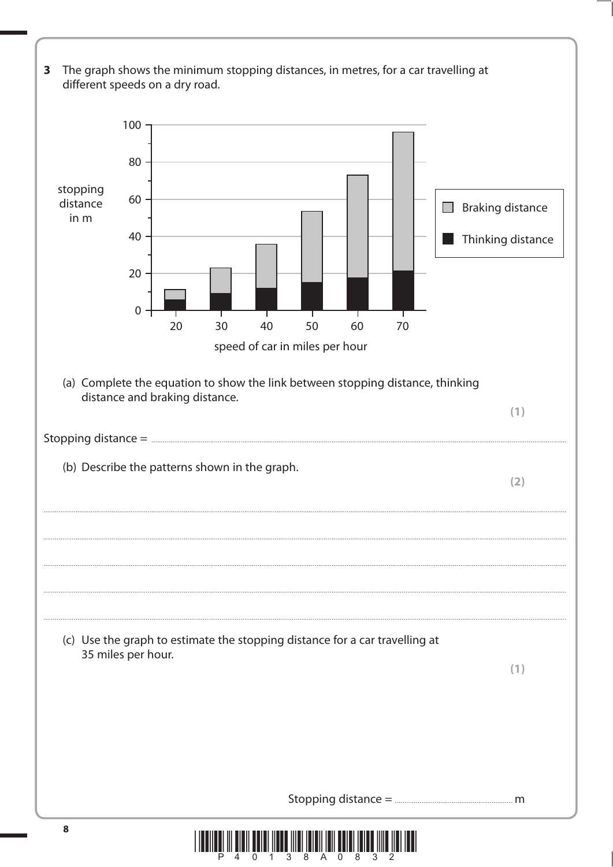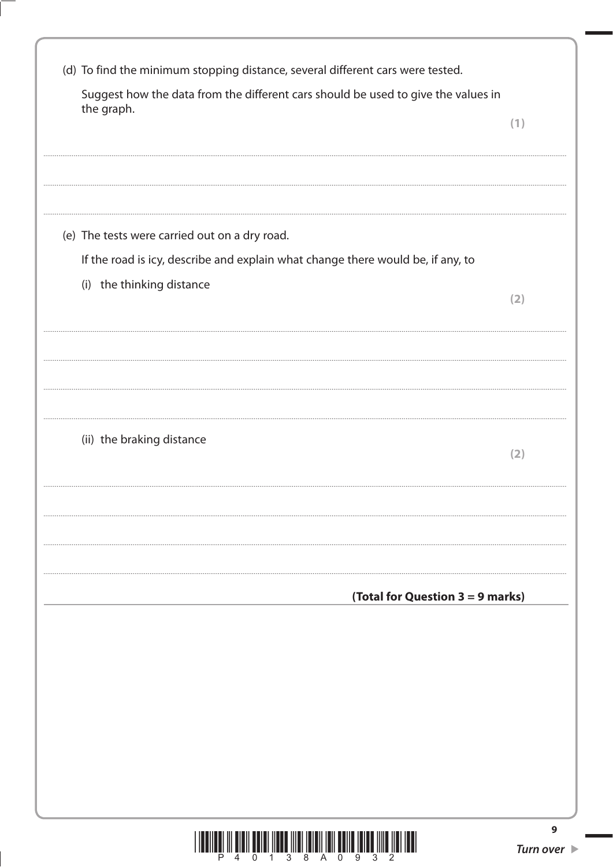| (d) To find the minimum stopping distance, several different cars were tested.                  |     |
|-------------------------------------------------------------------------------------------------|-----|
| Suggest how the data from the different cars should be used to give the values in<br>the graph. |     |
|                                                                                                 | (1) |
|                                                                                                 |     |
|                                                                                                 |     |
| (e) The tests were carried out on a dry road.                                                   |     |
| If the road is icy, describe and explain what change there would be, if any, to                 |     |
| (i) the thinking distance                                                                       | (2) |
|                                                                                                 |     |
|                                                                                                 |     |
|                                                                                                 |     |
|                                                                                                 |     |
|                                                                                                 |     |
| (ii) the braking distance                                                                       | (2) |
|                                                                                                 |     |
|                                                                                                 |     |
|                                                                                                 |     |
|                                                                                                 |     |
|                                                                                                 |     |
| (Total for Question 3 = 9 marks)                                                                |     |
|                                                                                                 |     |
|                                                                                                 |     |
|                                                                                                 |     |
|                                                                                                 |     |
|                                                                                                 |     |
|                                                                                                 |     |
|                                                                                                 |     |
|                                                                                                 |     |
|                                                                                                 |     |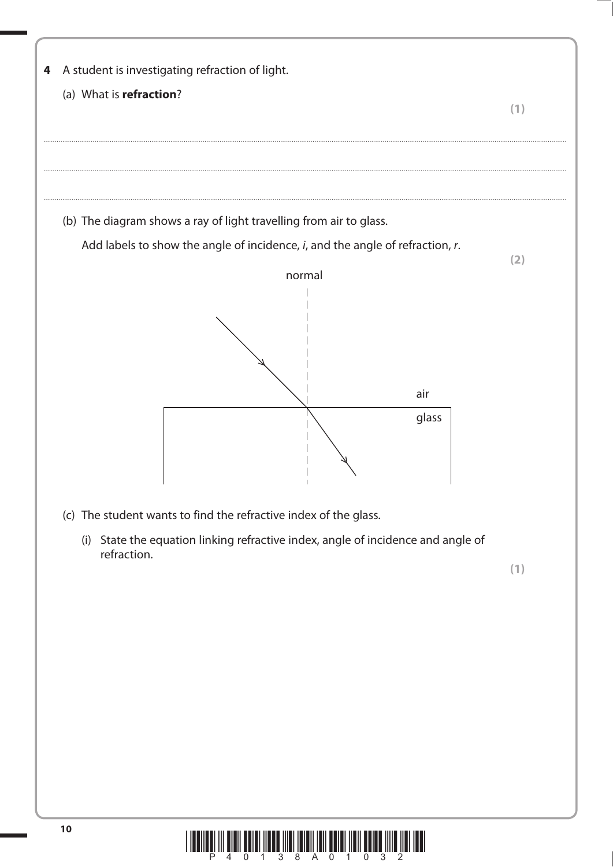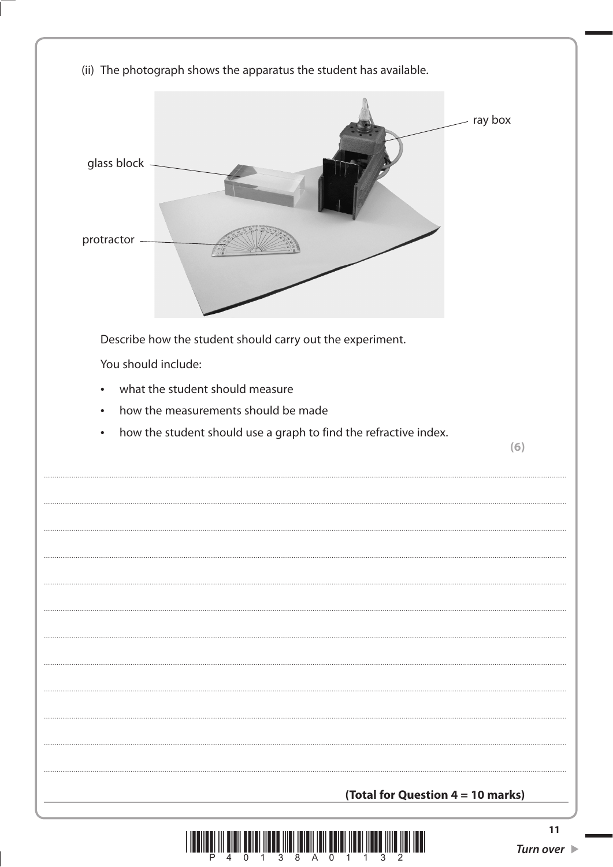

 $\frac{1}{2}$   $\frac{1}{2}$   $\frac{1}{3}$   $\frac{1}{3}$   $\frac{1}{8}$   $\frac{1}{8}$   $\frac{1}{1}$   $\frac{1}{2}$   $\frac{1}{1}$   $\frac{1}{1}$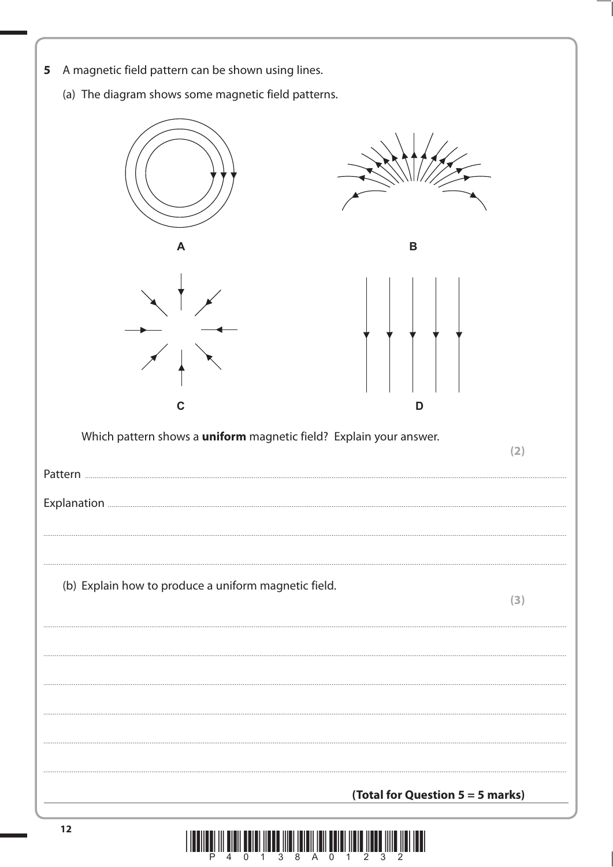- 5 A magnetic field pattern can be shown using lines.
	- (a) The diagram shows some magnetic field patterns.

| A                                                                         | B                                |
|---------------------------------------------------------------------------|----------------------------------|
| $\mathbf C$                                                               | D                                |
| Which pattern shows a <i>uniform</i> magnetic field? Explain your answer. | (2)                              |
|                                                                           |                                  |
| (b) Explain how to produce a uniform magnetic field.                      | (3)                              |
|                                                                           |                                  |
| 12                                                                        | (Total for Question 5 = 5 marks) |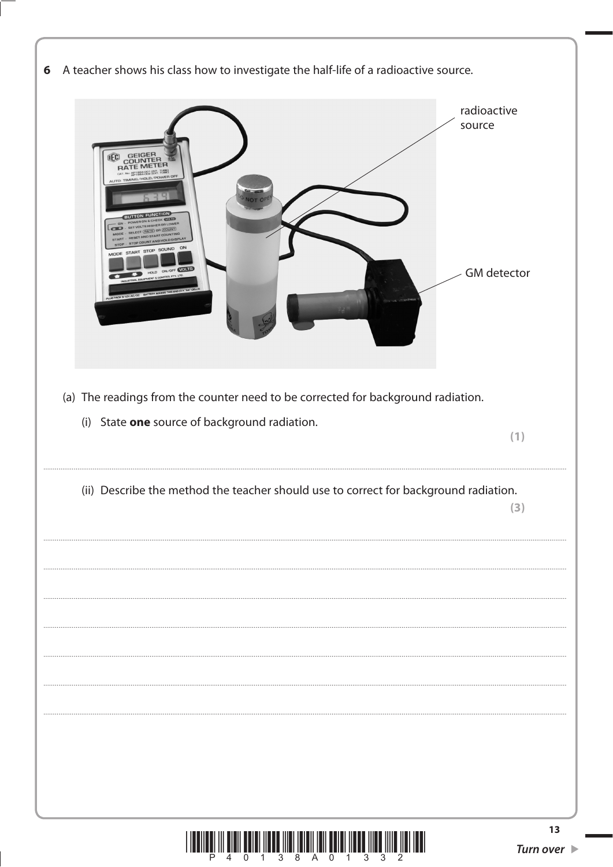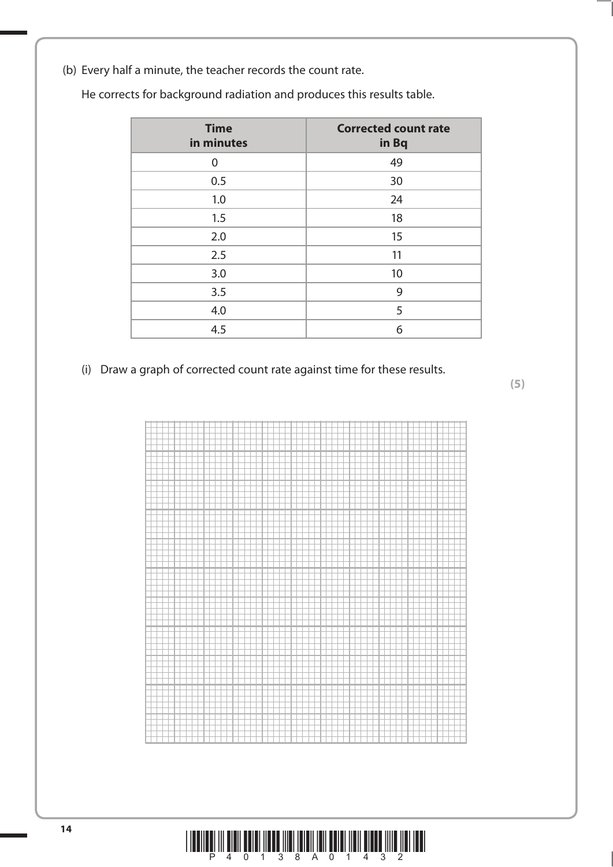(b) Every half a minute, the teacher records the count rate.

| He corrects for background radiation and produces this results table. |  |  |  |
|-----------------------------------------------------------------------|--|--|--|
|-----------------------------------------------------------------------|--|--|--|

| <b>Time</b><br>in minutes | <b>Corrected count rate</b><br>in Bq |
|---------------------------|--------------------------------------|
| $\Omega$                  | 49                                   |
| 0.5                       | 30                                   |
| 1.0                       | 24                                   |
| 1.5                       | 18                                   |
| 2.0                       | 15                                   |
| 2.5                       | 11                                   |
| 3.0                       | 10                                   |
| 3.5                       | 9                                    |
| 4.0                       | 5                                    |
| 4.5                       | 6                                    |

## (i) Draw a graph of corrected count rate against time for these results.

**(5)**



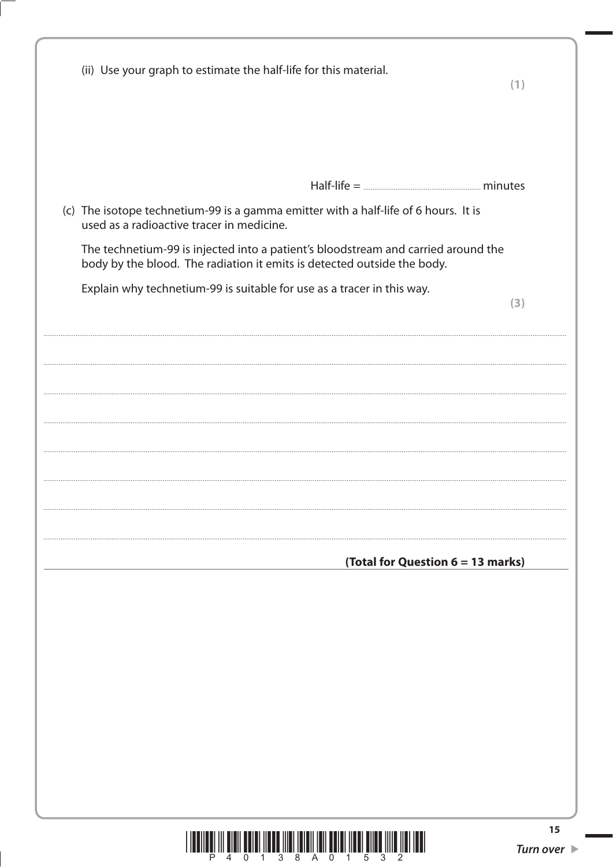| (ii) Use your graph to estimate the half-life for this material.                                                                                             | (1)       |
|--------------------------------------------------------------------------------------------------------------------------------------------------------------|-----------|
|                                                                                                                                                              |           |
| (c) The isotope technetium-99 is a gamma emitter with a half-life of 6 hours. It is<br>used as a radioactive tracer in medicine.                             |           |
| The technetium-99 is injected into a patient's bloodstream and carried around the<br>body by the blood. The radiation it emits is detected outside the body. |           |
| Explain why technetium-99 is suitable for use as a tracer in this way.                                                                                       | (3)       |
|                                                                                                                                                              |           |
|                                                                                                                                                              |           |
|                                                                                                                                                              |           |
|                                                                                                                                                              |           |
|                                                                                                                                                              |           |
| (Total for Question 6 = 13 marks)                                                                                                                            |           |
|                                                                                                                                                              |           |
|                                                                                                                                                              |           |
|                                                                                                                                                              |           |
|                                                                                                                                                              |           |
|                                                                                                                                                              |           |
|                                                                                                                                                              |           |
|                                                                                                                                                              | 15        |
| $\cup$                                                                                                                                                       | Turn over |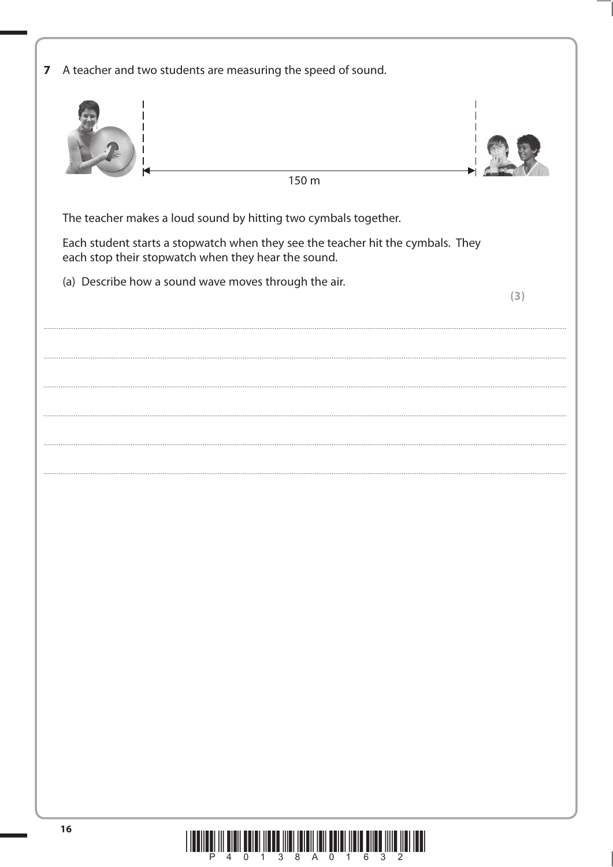7 A teacher and two students are measuring the speed of sound.

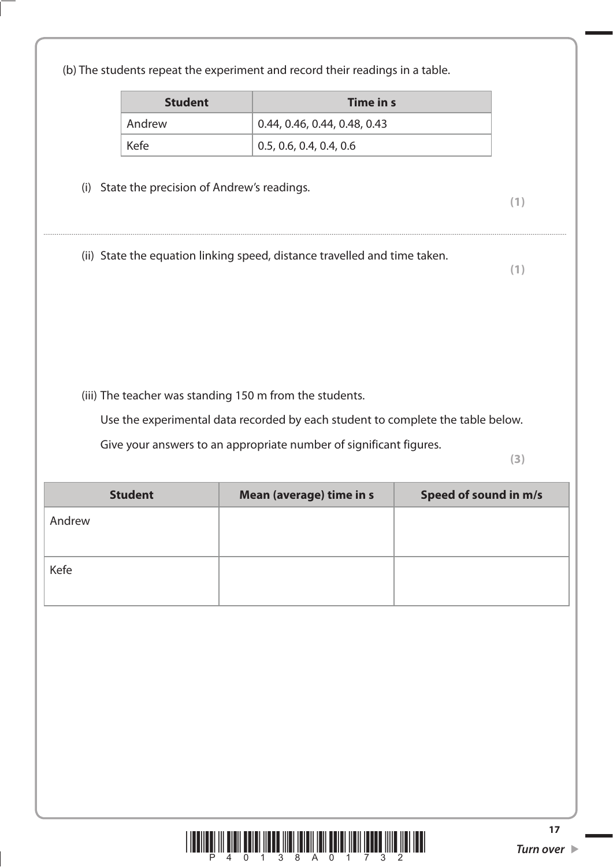| Andrew<br>0.44, 0.46, 0.44, 0.48, 0.43<br>0.5, 0.6, 0.4, 0.4, 0.6<br>Kefe<br>(i) State the precision of Andrew's readings.<br>(1)<br>(ii) State the equation linking speed, distance travelled and time taken.<br>(1)<br>(iii) The teacher was standing 150 m from the students.<br>Use the experimental data recorded by each student to complete the table below.<br>Give your answers to an appropriate number of significant figures.<br>(3)<br><b>Student</b><br>Speed of sound in m/s<br>Mean (average) time in s | <b>Student</b> | <b>Time in s</b> |  |
|-------------------------------------------------------------------------------------------------------------------------------------------------------------------------------------------------------------------------------------------------------------------------------------------------------------------------------------------------------------------------------------------------------------------------------------------------------------------------------------------------------------------------|----------------|------------------|--|
|                                                                                                                                                                                                                                                                                                                                                                                                                                                                                                                         |                |                  |  |
|                                                                                                                                                                                                                                                                                                                                                                                                                                                                                                                         |                |                  |  |
|                                                                                                                                                                                                                                                                                                                                                                                                                                                                                                                         |                |                  |  |
|                                                                                                                                                                                                                                                                                                                                                                                                                                                                                                                         |                |                  |  |
| Andrew<br>Kefe                                                                                                                                                                                                                                                                                                                                                                                                                                                                                                          |                |                  |  |
|                                                                                                                                                                                                                                                                                                                                                                                                                                                                                                                         |                |                  |  |
|                                                                                                                                                                                                                                                                                                                                                                                                                                                                                                                         |                |                  |  |
|                                                                                                                                                                                                                                                                                                                                                                                                                                                                                                                         |                |                  |  |
|                                                                                                                                                                                                                                                                                                                                                                                                                                                                                                                         |                |                  |  |
|                                                                                                                                                                                                                                                                                                                                                                                                                                                                                                                         |                |                  |  |
|                                                                                                                                                                                                                                                                                                                                                                                                                                                                                                                         |                |                  |  |
|                                                                                                                                                                                                                                                                                                                                                                                                                                                                                                                         |                |                  |  |
|                                                                                                                                                                                                                                                                                                                                                                                                                                                                                                                         |                |                  |  |
|                                                                                                                                                                                                                                                                                                                                                                                                                                                                                                                         |                |                  |  |
|                                                                                                                                                                                                                                                                                                                                                                                                                                                                                                                         |                |                  |  |

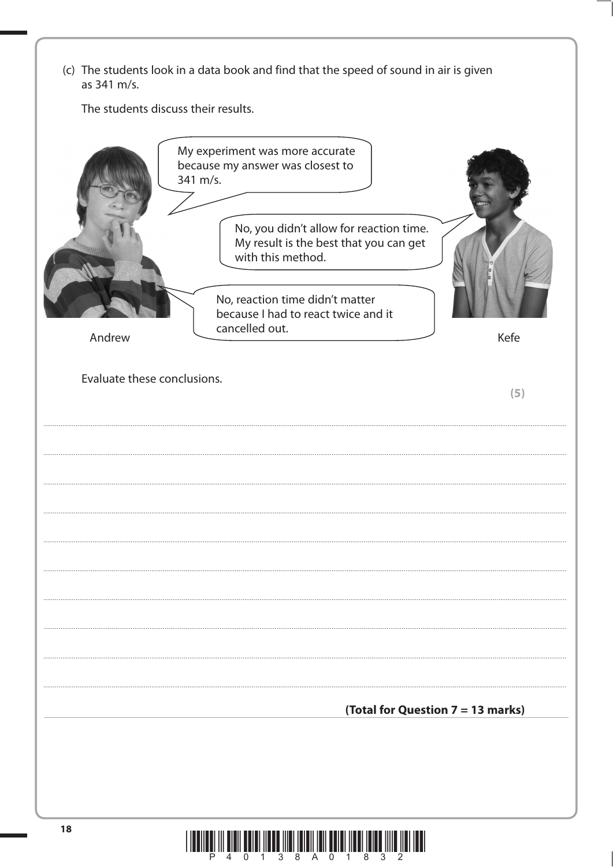(c) The students look in a data book and find that the speed of sound in air is given as 341 m/s.

The students discuss their results.

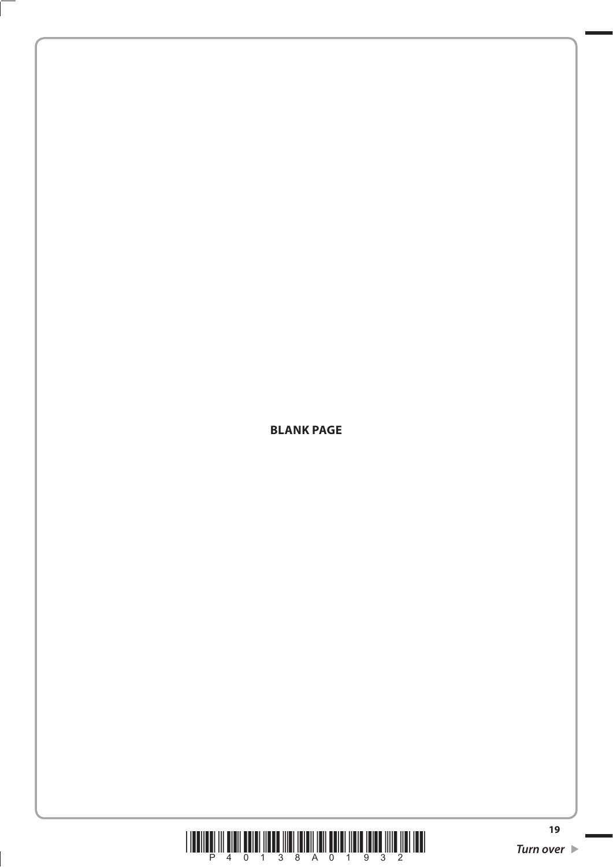**BLANK PAGE**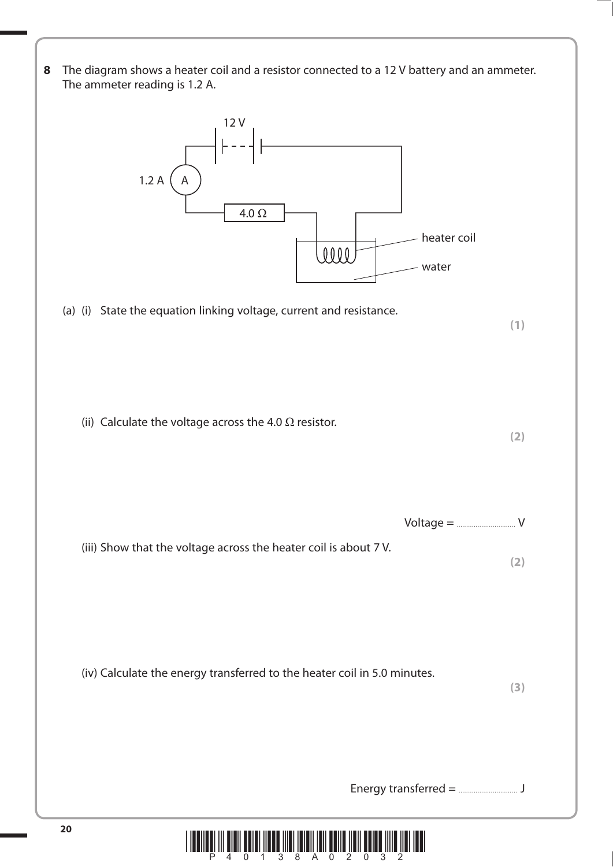**8** The diagram shows a heater coil and a resistor connected to a 12 V battery and an ammeter. The ammeter reading is 1.2 A. 12 V 1.2 A  $($ A 4.0  $\Omega$ heater coil  $0000$ water(a) (i) State the equation linking voltage, current and resistance. **(1)** (ii) Calculate the voltage across the 4.0  $\Omega$  resistor. **(2)** Voltage = ............................... V (iii) Show that the voltage across the heater coil is about 7 V. **(2)** (iv) Calculate the energy transferred to the heater coil in 5.0 minutes. **(3)** Energy transferred = ............................... J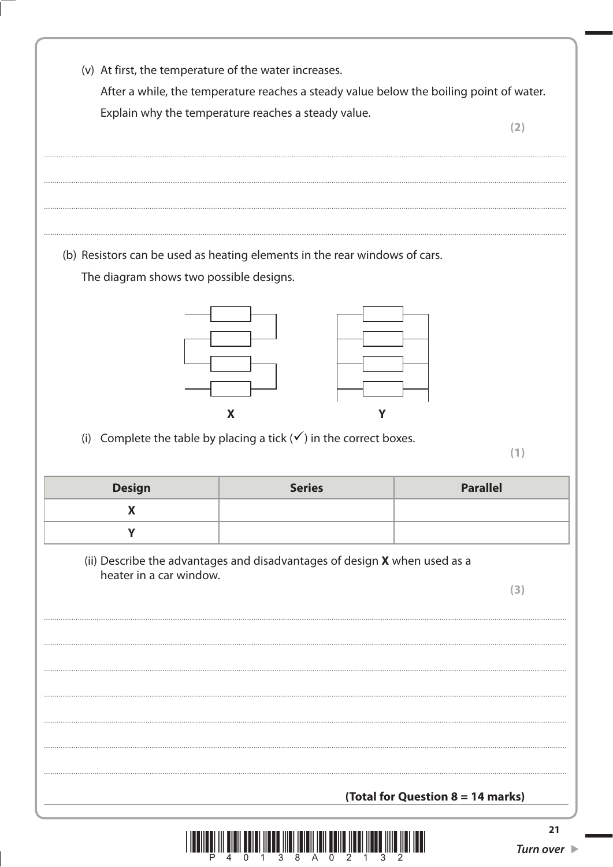

0 1 3 8 A 0 2 1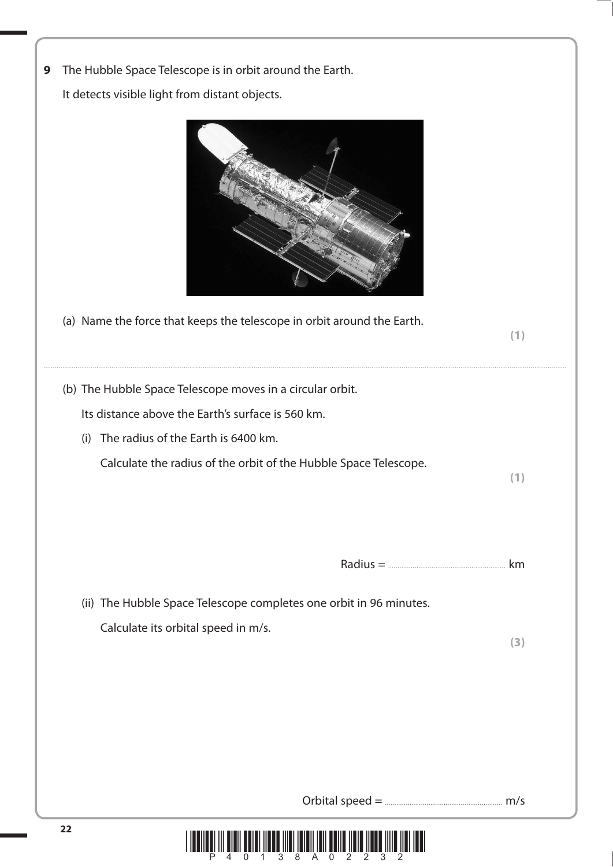**9** The Hubble Space Telescope is in orbit around the Earth. It detects visible light from distant objects.



....................................................................................................................................................................................................................................................................................

(a) Name the force that keeps the telescope in orbit around the Earth.

(b) The Hubble Space Telescope moves in a circular orbit. Its distance above the Earth's surface is 560 km. (i) The radius of the Earth is 6400 km. Calculate the radius of the orbit of the Hubble Space Telescope. **(1)** Radius = .............................................................. km (ii) The Hubble Space Telescope completes one orbit in 96 minutes. Calculate its orbital speed in m/s. **(3)** Orbital speed = .............................................................. m/s

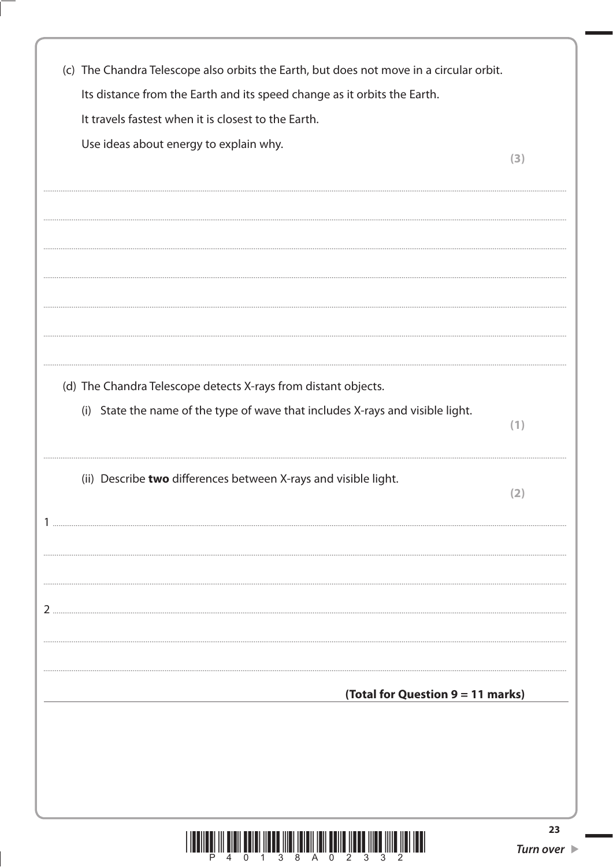| (c) The Chandra Telescope also orbits the Earth, but does not move in a circular orbit.<br>Its distance from the Earth and its speed change as it orbits the Earth.<br>It travels fastest when it is closest to the Earth. |     |
|----------------------------------------------------------------------------------------------------------------------------------------------------------------------------------------------------------------------------|-----|
| Use ideas about energy to explain why.                                                                                                                                                                                     | (3) |
|                                                                                                                                                                                                                            |     |
|                                                                                                                                                                                                                            |     |
|                                                                                                                                                                                                                            |     |
| (d) The Chandra Telescope detects X-rays from distant objects.<br>(i) State the name of the type of wave that includes X-rays and visible light.                                                                           | (1) |
| (ii) Describe two differences between X-rays and visible light.                                                                                                                                                            | (2) |
|                                                                                                                                                                                                                            |     |
| $\overline{2}$                                                                                                                                                                                                             |     |
| (Total for Question 9 = 11 marks)                                                                                                                                                                                          |     |
|                                                                                                                                                                                                                            |     |
|                                                                                                                                                                                                                            | 23  |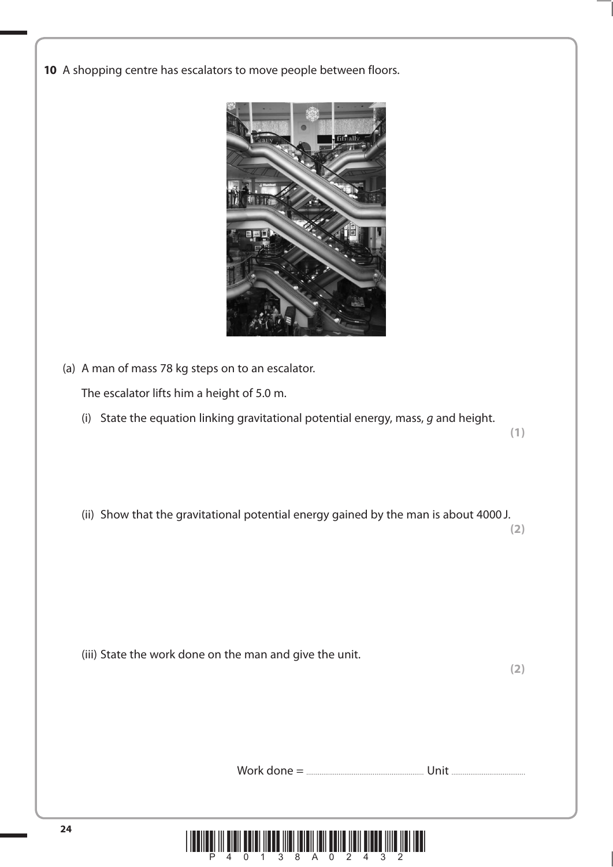**10** A shopping centre has escalators to move people between floors.



(a) A man of mass 78 kg steps on to an escalator.

The escalator lifts him a height of 5.0 m.

(i) State the equation linking gravitational potential energy, mass,  $g$  and height.

**(1)**

(ii) Show that the gravitational potential energy gained by the man is about 4000 J.

**(2)**

(iii) State the work done on the man and give the unit.

**(2)**

Work done = .............................................................. Unit .......................................

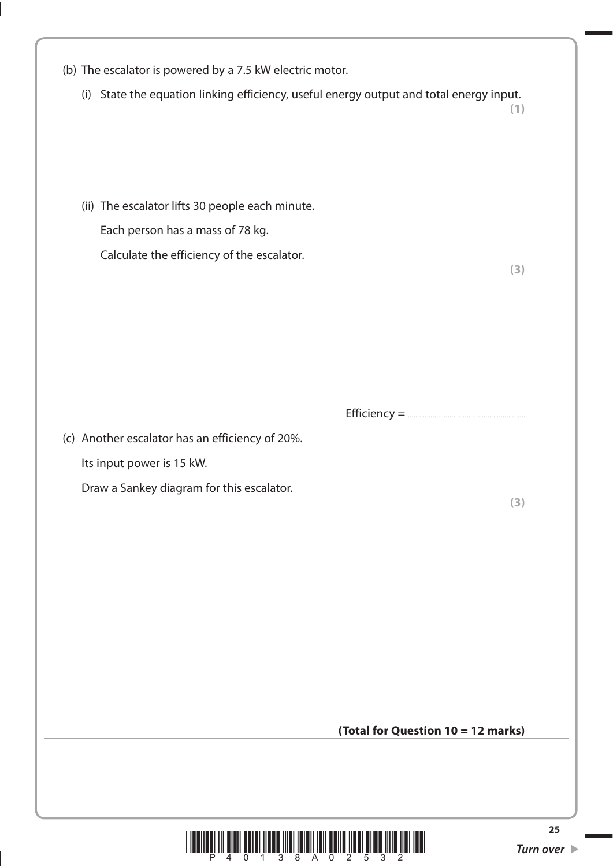| (b) The escalator is powered by a 7.5 kW electric motor.                                       |                                    |
|------------------------------------------------------------------------------------------------|------------------------------------|
| (i) State the equation linking efficiency, useful energy output and total energy input.<br>(1) |                                    |
|                                                                                                |                                    |
|                                                                                                |                                    |
|                                                                                                |                                    |
| (ii) The escalator lifts 30 people each minute.                                                |                                    |
| Each person has a mass of 78 kg.                                                               |                                    |
| Calculate the efficiency of the escalator.                                                     | (3)                                |
|                                                                                                |                                    |
|                                                                                                |                                    |
|                                                                                                |                                    |
|                                                                                                |                                    |
|                                                                                                |                                    |
|                                                                                                |                                    |
| (c) Another escalator has an efficiency of 20%.                                                |                                    |
| Its input power is 15 kW.                                                                      |                                    |
| Draw a Sankey diagram for this escalator.                                                      | (3)                                |
|                                                                                                |                                    |
|                                                                                                |                                    |
|                                                                                                |                                    |
|                                                                                                |                                    |
|                                                                                                |                                    |
|                                                                                                |                                    |
|                                                                                                |                                    |
|                                                                                                |                                    |
|                                                                                                |                                    |
|                                                                                                | (Total for Question 10 = 12 marks) |
|                                                                                                |                                    |
|                                                                                                |                                    |

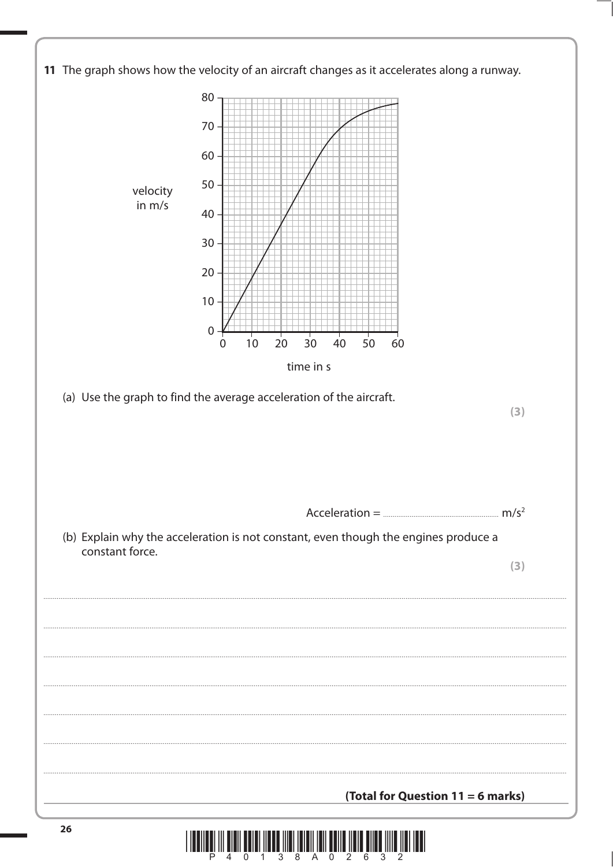

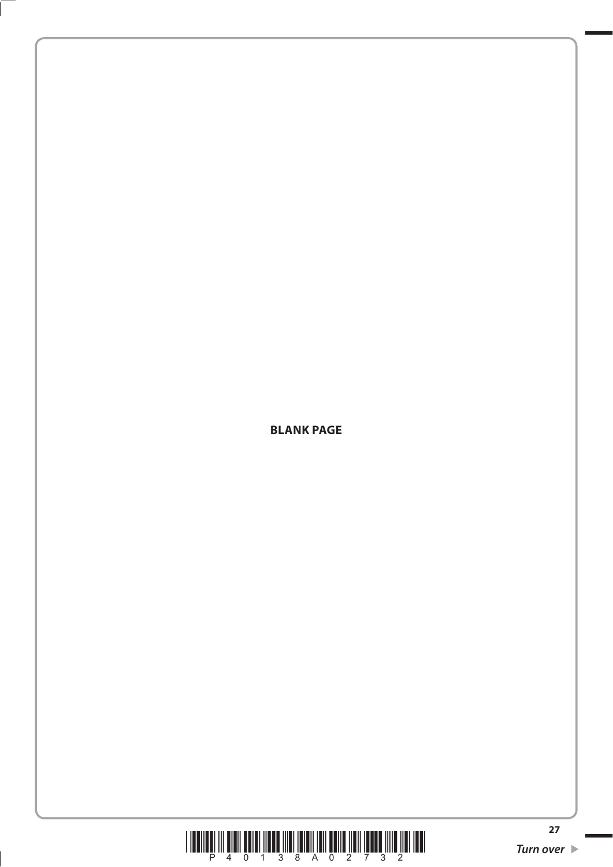$\frac{27}{4}$  *Turn over*  $\rightarrow$ 

**BLANK PAGE**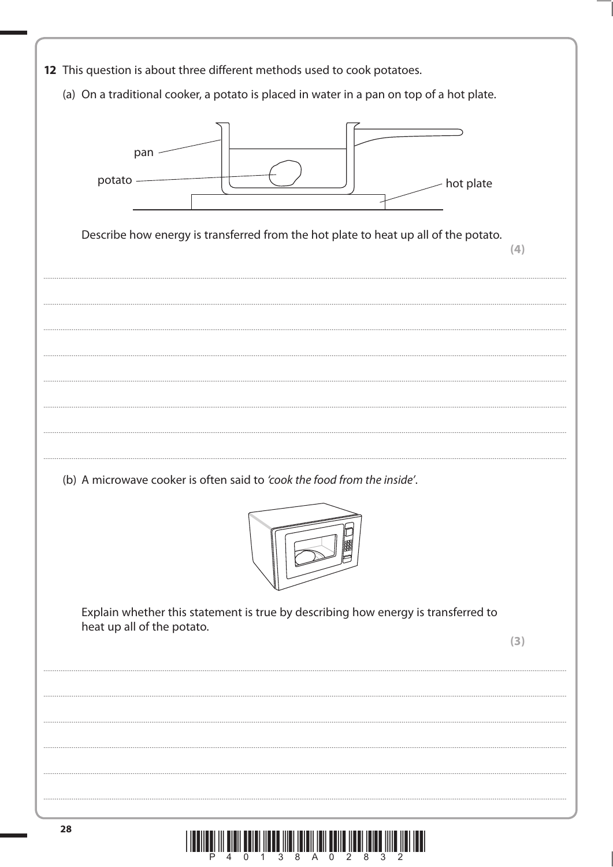

 $\overline{\mathbf{3}}$  $8<sup>8</sup>$ A 0 2 -8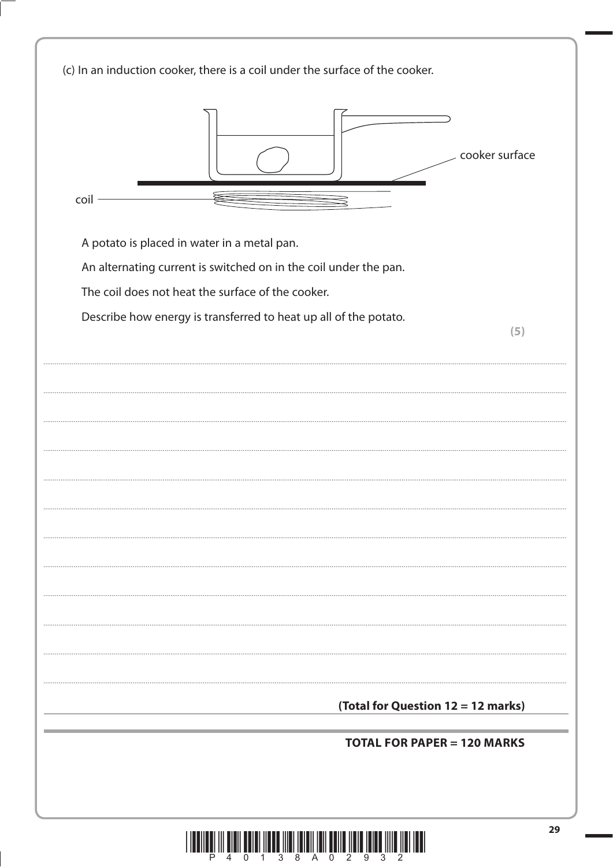| (c) In an induction cooker, there is a coil under the surface of the cooker. |  |
|------------------------------------------------------------------------------|--|
| cooker surface<br>coil                                                       |  |
| A potato is placed in water in a metal pan.                                  |  |
| An alternating current is switched on in the coil under the pan.             |  |
| The coil does not heat the surface of the cooker.                            |  |
| Describe how energy is transferred to heat up all of the potato.<br>(5)      |  |
|                                                                              |  |
|                                                                              |  |
|                                                                              |  |
|                                                                              |  |
|                                                                              |  |
|                                                                              |  |
|                                                                              |  |
|                                                                              |  |
|                                                                              |  |
|                                                                              |  |
|                                                                              |  |
|                                                                              |  |
|                                                                              |  |
| (Total for Question 12 = 12 marks)                                           |  |
| <b>TOTAL FOR PAPER = 120 MARKS</b>                                           |  |
|                                                                              |  |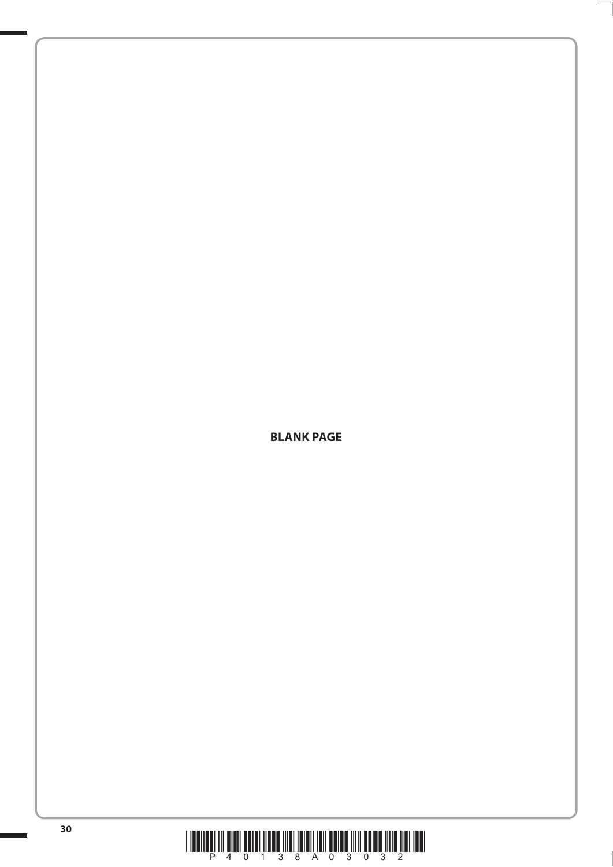

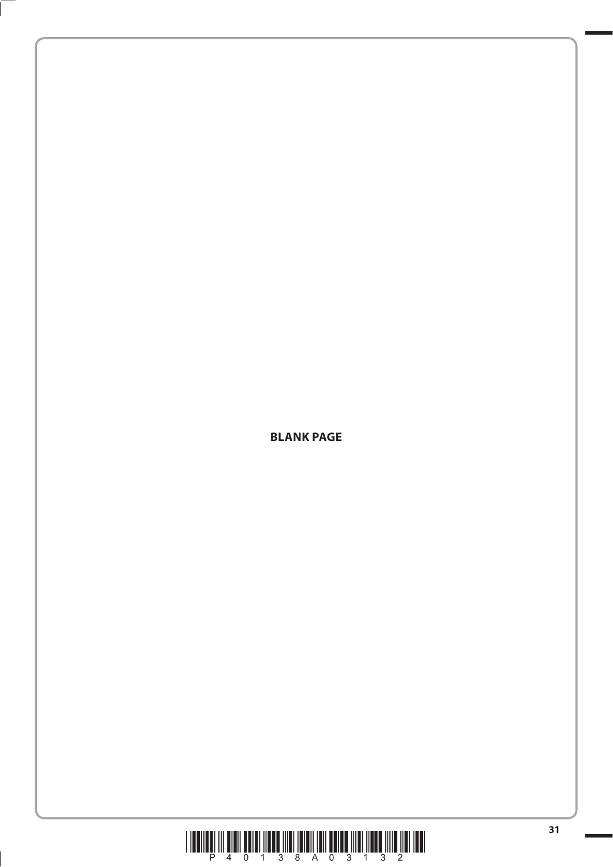

#### **BLANK PAGE**

 $\overline{\phantom{0}}$